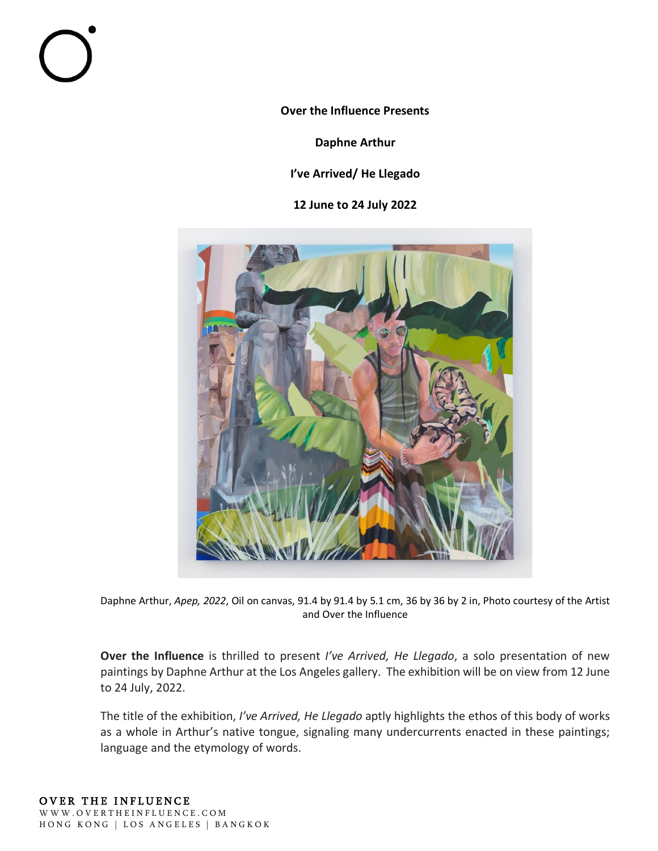**Over the Influence Presents**

**Daphne Arthur**

## **I've Arrived/ He Llegado**

**12 June to 24 July 2022**



Daphne Arthur, *Apep, 2022*, Oil on canvas, 91.4 by 91.4 by 5.1 cm, 36 by 36 by 2 in, Photo courtesy of the Artist and Over the Influence

**Over the Influence** is thrilled to present *I've Arrived, He Llegado*, a solo presentation of new paintings by Daphne Arthur at the Los Angeles gallery. The exhibition will be on view from 12 June to 24 July, 2022.

The title of the exhibition, *I've Arrived, He Llegado* aptly highlights the ethos of this body of works as a whole in Arthur's native tongue, signaling many undercurrents enacted in these paintings; language and the etymology of words.